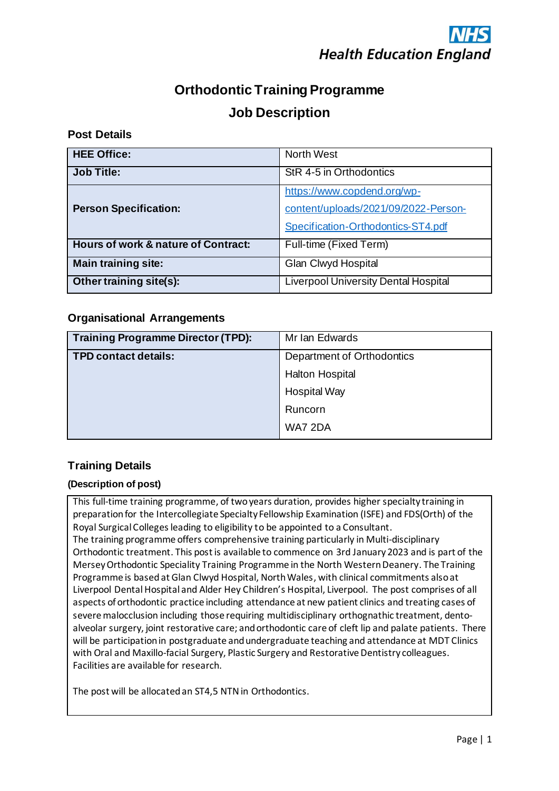## **Orthodontic Training Programme Job Description**

## **Post Details**

| <b>HEE Office:</b>                  | <b>North West</b>                           |  |
|-------------------------------------|---------------------------------------------|--|
| <b>Job Title:</b>                   | StR 4-5 in Orthodontics                     |  |
|                                     | https://www.copdend.org/wp-                 |  |
| <b>Person Specification:</b>        | content/uploads/2021/09/2022-Person-        |  |
|                                     | Specification-Orthodontics-ST4.pdf          |  |
| Hours of work & nature of Contract: | Full-time (Fixed Term)                      |  |
| <b>Main training site:</b>          | Glan Clwyd Hospital                         |  |
| Other training site(s):             | <b>Liverpool University Dental Hospital</b> |  |

## **Organisational Arrangements**

| <b>Training Programme Director (TPD):</b> | Mr Ian Edwards             |  |
|-------------------------------------------|----------------------------|--|
| <b>TPD contact details:</b>               | Department of Orthodontics |  |
|                                           | <b>Halton Hospital</b>     |  |
|                                           | <b>Hospital Way</b>        |  |
|                                           | Runcorn                    |  |
|                                           | WA7 2DA                    |  |

## **Training Details**

## **(Description of post)**

This full-time training programme, of two years duration, provides higher specialty training in preparation for the Intercollegiate Specialty Fellowship Examination (ISFE) and FDS(Orth) of the Royal Surgical Colleges leading to eligibility to be appointed to a Consultant. The training programme offers comprehensive training particularly in Multi-disciplinary Orthodontic treatment. This post is available to commence on 3rd January 2023 and is part of the MerseyOrthodontic Speciality Training Programme in the North Western Deanery. The Training Programme is based at Glan Clwyd Hospital, North Wales, with clinical commitments also at Liverpool Dental Hospital and Alder Hey Children's Hospital, Liverpool. The post comprises of all aspects of orthodontic practice including attendance at new patient clinics and treating cases of severe malocclusion including those requiring multidisciplinary orthognathic treatment, dentoalveolar surgery, joint restorative care; and orthodontic care of cleft lip and palate patients. There will be participation in postgraduate and undergraduate teaching and attendance at MDT Clinics with Oral and Maxillo-facial Surgery, Plastic Surgery and Restorative Dentistry colleagues. Facilities are available for research.

The post will be allocated an ST4,5 NTN in Orthodontics.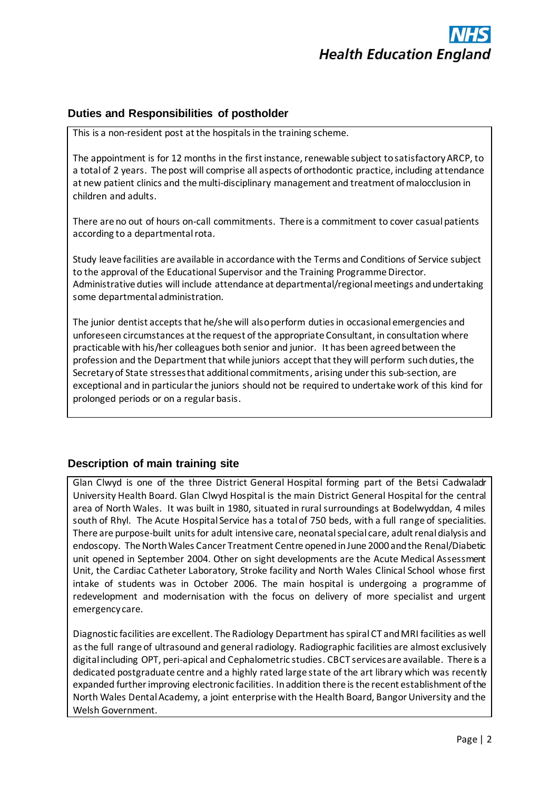

## **Duties and Responsibilities of postholder**

This is a non-resident post at the hospitals in the training scheme.

The appointment is for 12 months in the first instance, renewable subject to satisfactory ARCP, to a total of 2 years. The post will comprise all aspects of orthodontic practice, including attendance at new patient clinics and the multi-disciplinary management and treatment of malocclusion in children and adults.

There are no out of hours on-call commitments. There is a commitment to cover casual patients according to a departmental rota.

Study leave facilities are available in accordance with the Terms and Conditions of Service subject to the approval of the Educational Supervisor and the Training Programme Director. Administrative duties will include attendance at departmental/regional meetings and undertaking some departmental administration.

The junior dentist accepts that he/she will also perform duties in occasional emergencies and unforeseen circumstances at the request of the appropriate Consultant, in consultation where practicable with his/her colleagues both senior and junior. It has been agreed between the profession and the Department that while juniors accept that they will perform such duties, the Secretary of State stresses that additional commitments, arising under this sub-section, are exceptional and in particular the juniors should not be required to undertake work of this kind for prolonged periods or on a regular basis.

## **Description of main training site**

Glan Clwyd is one of the three District General Hospital forming part of the Betsi Cadwaladr University Health Board. Glan Clwyd Hospital is the main District General Hospital for the central area of North Wales. It was built in 1980, situated in rural surroundings at Bodelwyddan, 4 miles south of Rhyl. The Acute Hospital Service has a total of 750 beds, with a full range of specialities. There are purpose-built units for adult intensive care, neonatal special care, adult renal dialysis and endoscopy. The North Wales Cancer Treatment Centre opened in June 2000 and the Renal/Diabetic unit opened in September 2004. Other on sight developments are the Acute Medical Assessment Unit, the Cardiac Catheter Laboratory, Stroke facility and North Wales Clinical School whose first intake of students was in October 2006. The main hospital is undergoing a programme of redevelopment and modernisation with the focus on delivery of more specialist and urgent emergency care.

Diagnostic facilities are excellent. The Radiology Department has spiral CT and MRI facilities as well as the full range of ultrasound and general radiology. Radiographic facilities are almost exclusively digital including OPT, peri-apical and Cephalometric studies. CBCT services are available. There is a dedicated postgraduate centre and a highly rated large state of the art library which was recently expanded further improving electronic facilities. In addition there is the recent establishment of the North Wales Dental Academy, a joint enterprise with the Health Board, Bangor University and the Welsh Government.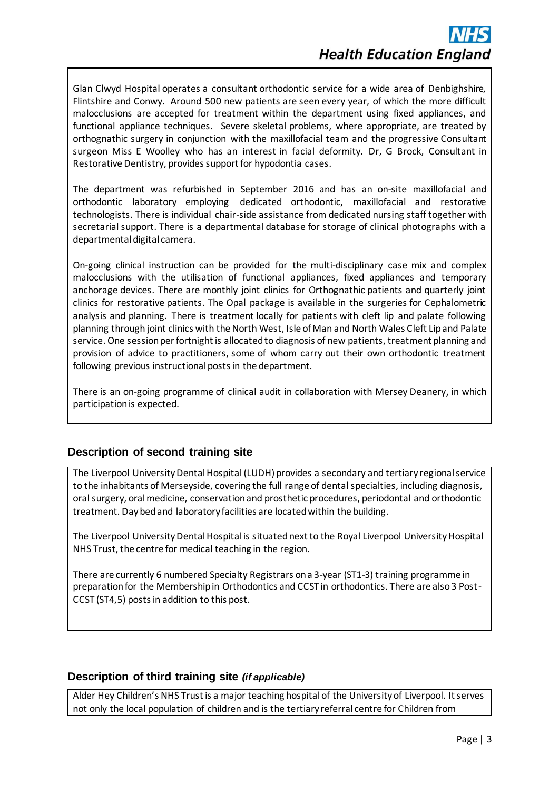Glan Clwyd Hospital operates a consultant orthodontic service for a wide area of Denbighshire, Flintshire and Conwy. Around 500 new patients are seen every year, of which the more difficult malocclusions are accepted for treatment within the department using fixed appliances, and functional appliance techniques. Severe skeletal problems, where appropriate, are treated by orthognathic surgery in conjunction with the maxillofacial team and the progressive Consultant surgeon Miss E Woolley who has an interest in facial deformity. Dr, G Brock, Consultant in Restorative Dentistry, provides support for hypodontia cases.

The department was refurbished in September 2016 and has an on-site maxillofacial and orthodontic laboratory employing dedicated orthodontic, maxillofacial and restorative technologists. There is individual chair-side assistance from dedicated nursing staff together with secretarial support. There is a departmental database for storage of clinical photographs with a departmental digital camera.

On-going clinical instruction can be provided for the multi-disciplinary case mix and complex malocclusions with the utilisation of functional appliances, fixed appliances and temporary anchorage devices. There are monthly joint clinics for Orthognathic patients and quarterly joint clinics for restorative patients. The Opal package is available in the surgeries for Cephalometric analysis and planning. There is treatment locally for patients with cleft lip and palate following planning through joint clinics with the North West, Isle of Man and North Wales Cleft Lip and Palate service. One session per fortnight is allocated to diagnosis of new patients, treatment planning and provision of advice to practitioners, some of whom carry out their own orthodontic treatment following previous instructional posts in the department.

There is an on-going programme of clinical audit in collaboration with Mersey Deanery, in which participation is expected.

## **Description of second training site**

The Liverpool University Dental Hospital (LUDH) provides a secondary and tertiary regional service to the inhabitants of Merseyside, covering the full range of dental specialties, including diagnosis, oral surgery, oral medicine, conservation and prosthetic procedures, periodontal and orthodontic treatment. Day bed and laboratory facilities are located within the building.

The Liverpool University Dental Hospital is situated next to the Royal Liverpool University Hospital NHS Trust, the centre for medical teaching in the region.

There are currently 6 numbered Specialty Registrars on a 3-year (ST1-3) training programme in preparation for the Membership in Orthodontics and CCST in orthodontics. There are also 3 Post-CCST (ST4,5) posts in addition to this post.

## **Description of third training site** *(if applicable)*

Alder Hey Children's NHS Trust is a major teaching hospital of the University of Liverpool. It serves not only the local population of children and is the tertiary referral centre for Children from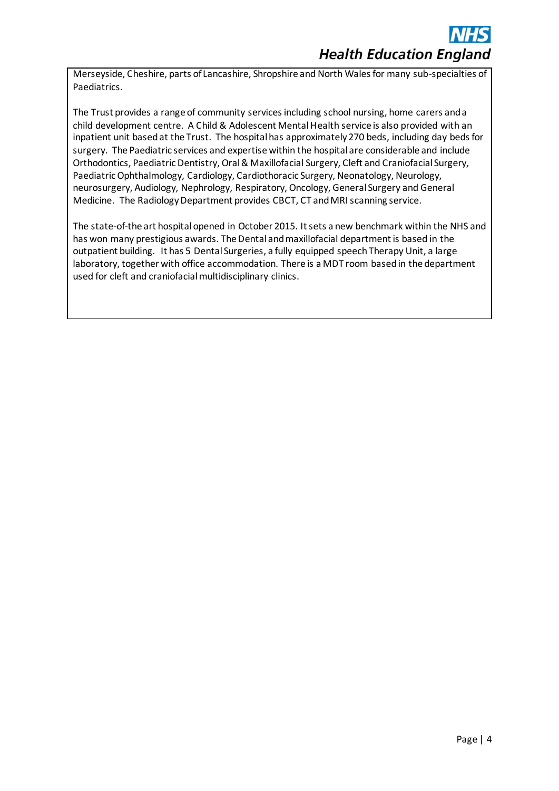Merseyside, Cheshire, parts of Lancashire, Shropshire and North Wales for many sub-specialties of Paediatrics.

The Trust provides a range of community services including school nursing, home carers and a child development centre. A Child & Adolescent Mental Health service is also provided with an inpatient unit based at the Trust. The hospital has approximately 270 beds, including day beds for surgery. The Paediatric services and expertise within the hospital are considerable and include Orthodontics, Paediatric Dentistry, Oral & Maxillofacial Surgery, Cleft and Craniofacial Surgery, Paediatric Ophthalmology, Cardiology, Cardiothoracic Surgery, Neonatology, Neurology, neurosurgery, Audiology, Nephrology, Respiratory, Oncology, General Surgery and General Medicine. The Radiology Department provides CBCT, CT and MRI scanning service.

The state-of-the art hospital opened in October 2015. It sets a new benchmark within the NHS and has won many prestigious awards. The Dental and maxillofacial department is based in the outpatient building. It has 5 Dental Surgeries, a fully equipped speech Therapy Unit, a large laboratory, together with office accommodation. There is a MDT room based in the department used for cleft and craniofacial multidisciplinary clinics.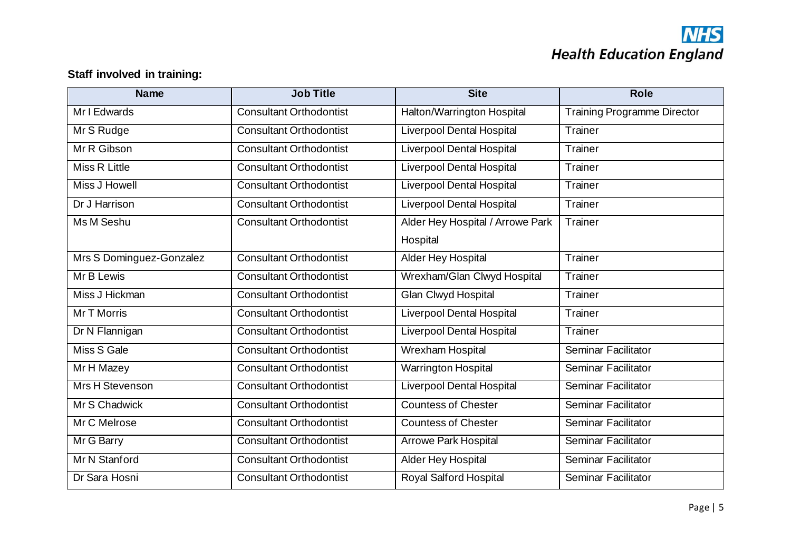# **NHS**<br>Health Education England

## **Staff involved in training:**

| <b>Name</b>              | <b>Job Title</b>               | <b>Site</b>                      | <b>Role</b>                        |
|--------------------------|--------------------------------|----------------------------------|------------------------------------|
| Mr I Edwards             | <b>Consultant Orthodontist</b> | Halton/Warrington Hospital       | <b>Training Programme Director</b> |
| Mr S Rudge               | <b>Consultant Orthodontist</b> | <b>Liverpool Dental Hospital</b> | Trainer                            |
| Mr R Gibson              | <b>Consultant Orthodontist</b> | <b>Liverpool Dental Hospital</b> | Trainer                            |
| Miss R Little            | <b>Consultant Orthodontist</b> | <b>Liverpool Dental Hospital</b> | Trainer                            |
| <b>Miss J Howell</b>     | <b>Consultant Orthodontist</b> | <b>Liverpool Dental Hospital</b> | Trainer                            |
| Dr J Harrison            | <b>Consultant Orthodontist</b> | <b>Liverpool Dental Hospital</b> | Trainer                            |
| Ms M Seshu               | <b>Consultant Orthodontist</b> | Alder Hey Hospital / Arrowe Park | Trainer                            |
|                          |                                | Hospital                         |                                    |
| Mrs S Dominguez-Gonzalez | <b>Consultant Orthodontist</b> | Alder Hey Hospital               | Trainer                            |
| Mr B Lewis               | <b>Consultant Orthodontist</b> | Wrexham/Glan Clwyd Hospital      | Trainer                            |
| Miss J Hickman           | <b>Consultant Orthodontist</b> | Glan Clwyd Hospital              | Trainer                            |
| Mr T Morris              | <b>Consultant Orthodontist</b> | <b>Liverpool Dental Hospital</b> | Trainer                            |
| Dr N Flannigan           | <b>Consultant Orthodontist</b> | <b>Liverpool Dental Hospital</b> | Trainer                            |
| Miss S Gale              | <b>Consultant Orthodontist</b> | Wrexham Hospital                 | Seminar Facilitator                |
| Mr H Mazey               | <b>Consultant Orthodontist</b> | <b>Warrington Hospital</b>       | Seminar Facilitator                |
| <b>Mrs H Stevenson</b>   | <b>Consultant Orthodontist</b> | <b>Liverpool Dental Hospital</b> | Seminar Facilitator                |
| Mr S Chadwick            | <b>Consultant Orthodontist</b> | <b>Countess of Chester</b>       | Seminar Facilitator                |
| Mr C Melrose             | <b>Consultant Orthodontist</b> | <b>Countess of Chester</b>       | Seminar Facilitator                |
| Mr G Barry               | <b>Consultant Orthodontist</b> | <b>Arrowe Park Hospital</b>      | Seminar Facilitator                |
| Mr N Stanford            | <b>Consultant Orthodontist</b> | Alder Hey Hospital               | Seminar Facilitator                |
| Dr Sara Hosni            | <b>Consultant Orthodontist</b> | Royal Salford Hospital           | Seminar Facilitator                |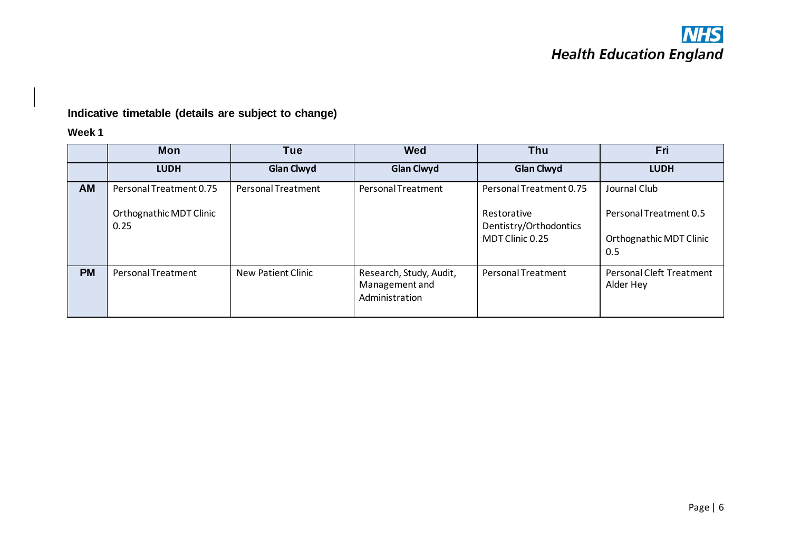## **Indicative timetable (details are subject to change)**

## **Week 1**

|           | <b>Mon</b>                      | Tue                       | <b>Wed</b>                                                  | Thu                                                      | Fri                                                      |
|-----------|---------------------------------|---------------------------|-------------------------------------------------------------|----------------------------------------------------------|----------------------------------------------------------|
|           | <b>LUDH</b>                     | <b>Glan Clwyd</b>         | <b>Glan Clwyd</b>                                           | <b>Glan Clwyd</b>                                        | <b>LUDH</b>                                              |
| AM        | Personal Treatment 0.75         | Personal Treatment        | Personal Treatment                                          | Personal Treatment 0.75                                  | Journal Club                                             |
|           | Orthognathic MDT Clinic<br>0.25 |                           |                                                             | Restorative<br>Dentistry/Orthodontics<br>MDT Clinic 0.25 | Personal Treatment 0.5<br>Orthognathic MDT Clinic<br>0.5 |
| <b>PM</b> | Personal Treatment              | <b>New Patient Clinic</b> | Research, Study, Audit,<br>Management and<br>Administration | Personal Treatment                                       | Personal Cleft Treatment<br>Alder Hey                    |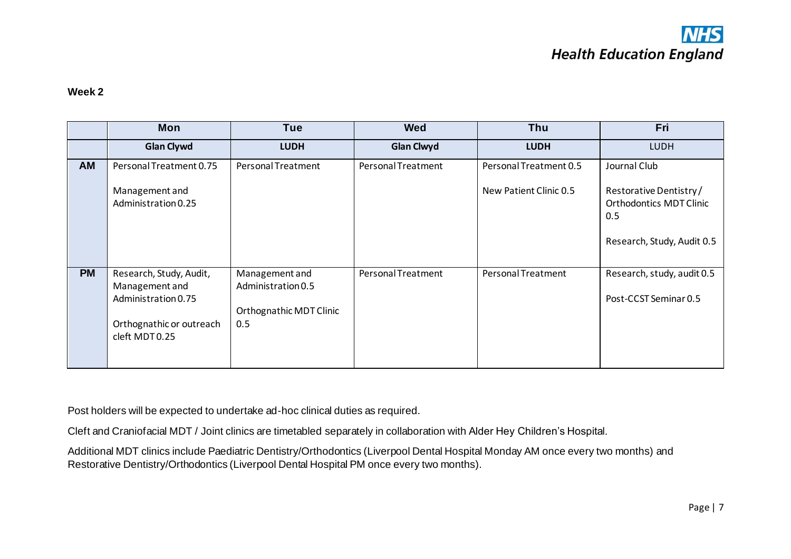

#### **Week 2**

|           | <b>Mon</b>                                                                                                     | <b>Tue</b>                                                             | <b>Wed</b>         | Thu                                              | Fri                                                                                                           |
|-----------|----------------------------------------------------------------------------------------------------------------|------------------------------------------------------------------------|--------------------|--------------------------------------------------|---------------------------------------------------------------------------------------------------------------|
|           | <b>Glan Clywd</b>                                                                                              | <b>LUDH</b>                                                            | <b>Glan Clwyd</b>  | <b>LUDH</b>                                      | <b>LUDH</b>                                                                                                   |
| AM        | Personal Treatment 0.75<br>Management and<br>Administration 0.25                                               | Personal Treatment                                                     | Personal Treatment | Personal Treatment 0.5<br>New Patient Clinic 0.5 | Journal Club<br>Restorative Dentistry/<br><b>Orthodontics MDT Clinic</b><br>0.5<br>Research, Study, Audit 0.5 |
| <b>PM</b> | Research, Study, Audit,<br>Management and<br>Administration 0.75<br>Orthognathic or outreach<br>cleft MDT 0.25 | Management and<br>Administration 0.5<br>Orthognathic MDT Clinic<br>0.5 | Personal Treatment | Personal Treatment                               | Research, study, audit 0.5<br>Post-CCST Seminar 0.5                                                           |

Post holders will be expected to undertake ad-hoc clinical duties as required.

Cleft and Craniofacial MDT / Joint clinics are timetabled separately in collaboration with Alder Hey Children's Hospital.

Additional MDT clinics include Paediatric Dentistry/Orthodontics (Liverpool Dental Hospital Monday AM once every two months) and Restorative Dentistry/Orthodontics (Liverpool Dental Hospital PM once every two months).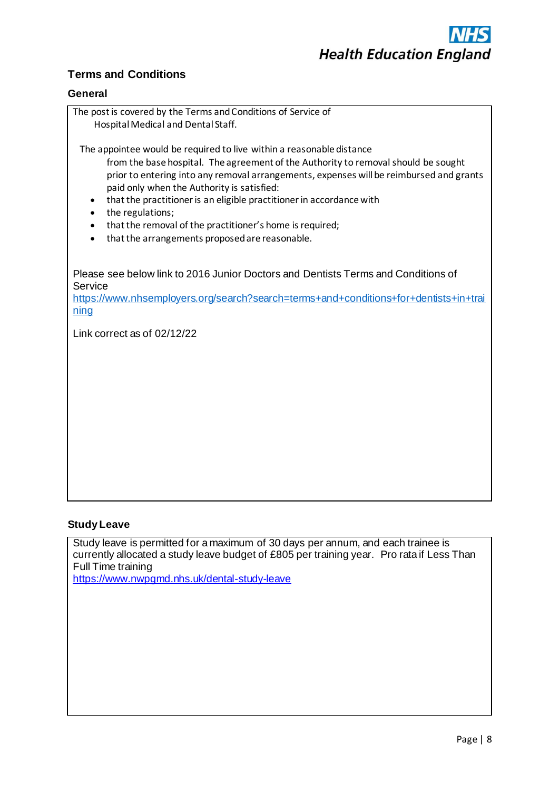

## **Terms and Conditions**

### **General**

| The post is covered by the Terms and Conditions of Service of<br>Hospital Medical and Dental Staff.                                                                                                                                                                                                                                                                                                                                                                                                                                          |
|----------------------------------------------------------------------------------------------------------------------------------------------------------------------------------------------------------------------------------------------------------------------------------------------------------------------------------------------------------------------------------------------------------------------------------------------------------------------------------------------------------------------------------------------|
| The appointee would be required to live within a reasonable distance<br>from the base hospital. The agreement of the Authority to removal should be sought<br>prior to entering into any removal arrangements, expenses will be reimbursed and grants<br>paid only when the Authority is satisfied:<br>that the practitioner is an eligible practitioner in accordance with<br>٠<br>the regulations;<br>that the removal of the practitioner's home is required;<br>$\bullet$<br>that the arrangements proposed are reasonable.<br>$\bullet$ |
| Please see below link to 2016 Junior Doctors and Dentists Terms and Conditions of<br>Service<br>https://www.nhsemployers.org/search?search=terms+and+conditions+for+dentists+in+trai<br>ning                                                                                                                                                                                                                                                                                                                                                 |
| Link correct as of 02/12/22                                                                                                                                                                                                                                                                                                                                                                                                                                                                                                                  |
|                                                                                                                                                                                                                                                                                                                                                                                                                                                                                                                                              |
|                                                                                                                                                                                                                                                                                                                                                                                                                                                                                                                                              |
|                                                                                                                                                                                                                                                                                                                                                                                                                                                                                                                                              |
|                                                                                                                                                                                                                                                                                                                                                                                                                                                                                                                                              |
|                                                                                                                                                                                                                                                                                                                                                                                                                                                                                                                                              |

### **Study Leave**

Study leave is permitted for a maximum of 30 days per annum, and each trainee is currently allocated a study leave budget of £805 per training year. Pro rata if Less Than Full Time training

<https://www.nwpgmd.nhs.uk/dental-study-leave>